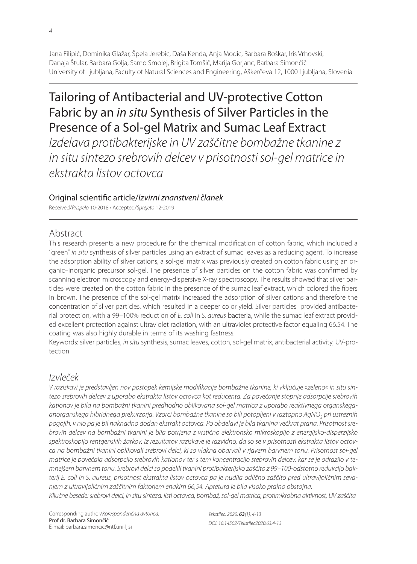Jana Filipič, Dominika Glažar, Špela Jerebic, Daša Kenda, Anja Modic, Barbara Roškar, Iris Vrhovski, Danaja Štular, Barbara Golja, Samo Smolej, Brigita Tomšič, Marija Gorjanc, Barbara Simončič University of Ljubljana, Faculty of Natural Sciences and Engineering, Aškerčeva 12, 1000 Ljubljana, Slovenia

# Tailoring of Antibacterial and UV-protective Cotton Fabric by an in situ Synthesis of Silver Particles in the Presence of a Sol-gel Matrix and Sumac Leaf Extract

Izdelava protibakterijske in UV zaščitne bombažne tkanine z in situ sintezo srebrovih delcev v prisotnosti sol-gel matrice in ekstrakta listov octovca

## Original scientific article/Izvirni znanstveni članek

Received/Prispelo 10-2018 • Accepted/Sprejeto 12-2019

# Abstract

This research presents a new procedure for the chemical modification of cotton fabric, which included a "green" in situ synthesis of silver particles using an extract of sumac leaves as a reducing agent. To increase the adsorption ability of silver cations, a sol-gel matrix was previously created on cotton fabric using an organic–inorganic precursor sol-gel. The presence of silver particles on the cotton fabric was confirmed by scanning electron microscopy and energy-dispersive X-ray spectroscopy. The results showed that silver particles were created on the cotton fabric in the presence of the sumac leaf extract, which colored the fibers in brown. The presence of the sol-gel matrix increased the adsorption of silver cations and therefore the concentration of sliver particles, which resulted in a deeper color yield. Silver particles provided antibacterial protection, with a 99-100% reduction of E. coli in S. aureus bacteria, while the sumac leaf extract provided excellent protection against ultraviolet radiation, with an ultraviolet protective factor equaling 66.54. The coating was also highly durable in terms of its washing fastness.

Keywords: silver particles, in situ synthesis, sumac leaves, cotton, sol-gel matrix, antibacterial activity, UV-protection

# Izvleček

V raziskavi je predstavljen nov postopek kemijske modifikacije bombažne tkanine, ki vključuje »zeleno« in situ sintezo srebrovih delcev z uporabo ekstrakta listov octovca kot reducenta. Za povečanje stopnje adsorpcije srebrovih kationov je bila na bombažni tkanini predhodno oblikovana sol-gel matrica z uporabo reaktivnega organskegaanorganskega hibridnega prekurzorja. Vzorci bombažne tkanine so bili potopljeni v raztopno AgNO<sub>3</sub> pri ustreznih pogojih, v njo pa je bil naknadno dodan ekstrakt octovca. Po obdelavi je bila tkanina večkrat prana. Prisotnost srebrovih delcev na bombažni tkanini je bila potrjena z vrstično elektronsko mikroskopijo z energijsko-disperzijsko spektroskopijo rentgenskih žarkov. Iz rezultatov raziskave je razvidno, da so se v prisotnosti ekstrakta listov octovca na bombažni tkanini oblikovali srebrovi delci, ki so vlakna obarvali v rjavem barvnem tonu. Prisotnost sol-gel matrice je povečala adsorpcijo srebrovih kationov ter s tem koncentracijo srebrovih delcev, kar se je odrazilo v temnejšem barvnem tonu. Srebrovi delci so podelili tkanini protibakterijsko zaščito z 99–100-odstotno redukcijo bakterij E. coli in S. aureus, prisotnost ekstrakta listov octovca pa je nudila odlično zaščito pred ultravijoličnim sevanjem z ultravijoličnim zaščitnim faktorjem enakim 66,54. Apretura je bila visoko pralno obstojna.

Ključne besede: srebrovi delci, in situ sinteza, listi octovca, bombaž, sol-gel matrica, protimikrobna aktivnost, UV zaščita

Corresponding author/Korespondenčna avtorica: Prof dr. Barbara Simončič E-mail: barbara.simoncic@ntf.uni-lj.si

Tekstilec, 2020, *63*(1), 4-13 DOI: 10.14502/Tekstilec2020.63.4-13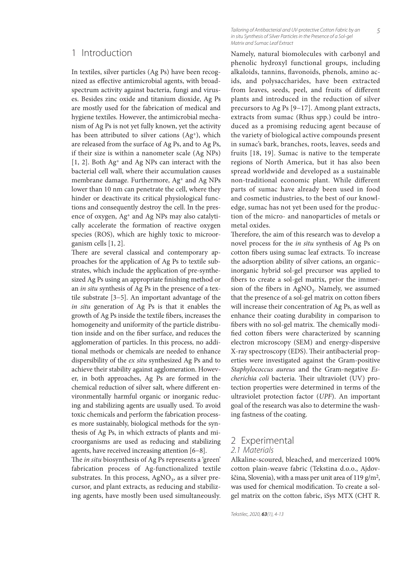# 1 Introduction

In textiles, silver particles (Ag Ps) have been recognized as effective antimicrobial agents, with broadspectrum activity against bacteria, fungi and viruses. Besides zinc oxide and titanium dioxide, Ag Ps are mostly used for the fabrication of medical and hygiene textiles. However, the antimicrobial mechanism of Ag Ps is not yet fully known, yet the activity has been attributed to silver cations (Ag<sup>+</sup>), which are released from the surface of Ag Ps, and to Ag Ps, if their size is within a nanometer scale (Ag NPs) [1, 2]. Both Ag+ and Ag NPs can interact with the bacterial cell wall, where their accumulation causes membrane damage. Furthermore, Ag+ and Ag NPs lower than 10 nm can penetrate the cell, where they hinder or deactivate its critical physiological functions and consequently destroy the cell. In the presence of oxygen, Ag+ and Ag NPs may also catalytically accelerate the formation of reactive oxygen species (ROS), which are highly toxic to microorganism cells [1, 2].

There are several classical and contemporary approaches for the application of Ag Ps to textile substrates, which include the application of pre-synthesized Ag Ps using an appropriate finishing method or an *in situ* synthesis of Ag Ps in the presence of a textile substrate [3−5]. An important advantage of the *in situ* generation of Ag Ps is that it enables the growth of Ag Ps inside the textile fibers, increases the homogeneity and uniformity of the particle distribution inside and on the fiber surface, and reduces the agglomeration of particles. In this process, no additional methods or chemicals are needed to enhance dispersibility of the *ex situ* synthesized Ag Ps and to achieve their stability against agglomeration. However, in both approaches, Ag Ps are formed in the chemical reduction of silver salt, where different environmentally harmful organic or inorganic reducing and stabilizing agents are usually used. To avoid toxic chemicals and perform the fabrication processes more sustainably, biological methods for the synthesis of Ag Ps, in which extracts of plants and microorganisms are used as reducing and stabilizing agents, have received increasing attention [6−8].

The *in situ* biosynthesis of Ag Ps represents a 'green' fabrication process of Ag-functionalized textile substrates. In this process,  $AgNO<sub>3</sub>$ , as a silver precursor, and plant extracts, as reducing and stabilizing agents, have mostly been used simultaneously.

Tailoring of Antibacterial and UV-protective Cotton Fabric by an in situ Synthesis of Silver Particles in the Presence of a Sol-gel Matrix and Sumac Leaf Extract

Namely, natural biomolecules with carbonyl and phenolic hydroxyl functional groups, including alkaloids, tannins, flavonoids, phenols, amino acids, and polysaccharides, have been extracted from leaves, seeds, peel, and fruits of different plants and introduced in the reduction of silver precursors to Ag Ps [9−17]. Among plant extracts, extracts from sumac (Rhus spp.) could be introduced as a promising reducing agent because of the variety of biological active compounds present in sumac's bark, branches, roots, leaves, seeds and fruits [18, 19]. Sumac is native to the temperate regions of North America, but it has also been spread worldwide and developed as a sustainable non-traditional economic plant. While different parts of sumac have already been used in food and cosmetic industries, to the best of our knowledge, sumac has not yet been used for the production of the micro- and nanoparticles of metals or metal oxides.

Therefore, the aim of this research was to develop a novel process for the *in situ* synthesis of Ag Ps on cotton fibers using sumac leaf extracts. To increase the adsorption ability of silver cations, an organic– inorganic hybrid sol-gel precursor was applied to fibers to create a sol-gel matrix, prior the immersion of the fibers in  $AgNO<sub>3</sub>$ . Namely, we assumed that the presence of a sol-gel matrix on cotton fibers will increase their concentration of Ag Ps, as well as enhance their coating durability in comparison to fibers with no sol-gel matrix. The chemically modified cotton fibers were characterized by scanning electron microscopy (SEM) and energy-dispersive X-ray spectroscopy (EDS). Their antibacterial properties were investigated against the Gram-positive *Staphylococcus aureus* and the Gram-negative *Escherichia coli* bacteria. Their ultraviolet (UV) protection properties were determined in terms of the ultraviolet protection factor (*UPF*). An important goal of the research was also to determine the washing fastness of the coating.

### 2 Experimental 2.1 Materials

Alkaline-scoured, bleached, and mercerized 100% cotton plain-weave fabric (Tekstina d.o.o., Ajdovščina, Slovenia), with a mass per unit area of 119 g/m2, was used for chemical modification. To create a solgel matrix on the cotton fabric, iSys MTX (CHT R.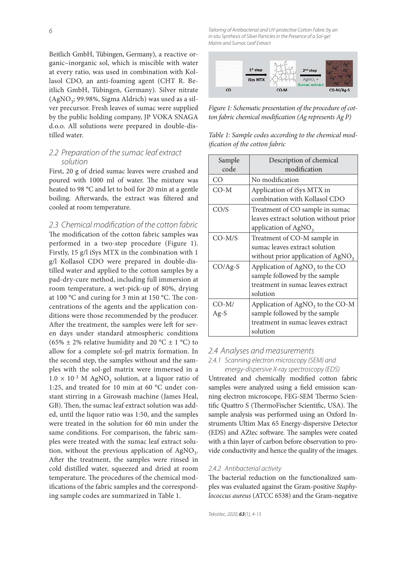6

Beitlich GmbH, Tübingen, Germany), a reactive organic–inorganic sol, which is miscible with water at every ratio, was used in combination with Kollasol CDO, an anti-foaming agent (CHT R. Beitlich GmbH, Tübingen, Germany). Silver nitrate  $(AgNO<sub>3</sub>; 99.98\%, Sigma Aldrich)$  was used as a silver precursor. Fresh leaves of sumac were supplied by the public holding company, JP VOKA SNAGA d.o.o. All solutions were prepared in double-distilled water.

## 2.2 Preparation of the sumac leaf extract solution

First, 20 g of dried sumac leaves were crushed and poured with 1000 ml of water. The mixture was heated to 98 °C and let to boil for 20 min at a gentle boiling. Afterwards, the extract was filtered and cooled at room temperature.

### 2.3 Chemical modification of the cotton fabric

The modification of the cotton fabric samples was performed in a two-step procedure (Figure 1). Firstly, 15 g/l iSys MTX in the combination with 1 g/l Kollasol CDO were prepared in double-distilled water and applied to the cotton samples by a pad-dry-cure method, including full immersion at room temperature, a wet-pick-up of 80%, drying at 100  $^{\circ}$ C and curing for 3 min at 150  $^{\circ}$ C. The concentrations of the agents and the application conditions were those recommended by the producer. After the treatment, the samples were left for seven days under standard atmospheric conditions (65%  $\pm$  2% relative humidity and 20 °C  $\pm$  1 °C) to allow for a complete sol-gel matrix formation. In the second step, the samples without and the samples with the sol-gel matrix were immersed in a  $1.0 \times 10^{-3}$  M AgNO<sub>3</sub> solution, at a liquor ratio of 1:25, and treated for 10 min at 60 °C under constant stirring in a Girowash machine (James Heal, GB). Then, the sumac leaf extract solution was added, until the liquor ratio was 1:50, and the samples were treated in the solution for 60 min under the same conditions. For comparison, the fabric samples were treated with the sumac leaf extract solution, without the previous application of  $AgNO<sub>3</sub>$ . After the treatment, the samples were rinsed in cold distilled water, squeezed and dried at room temperature. The procedures of the chemical modifications of the fabric samples and the corresponding sample codes are summarized in Table 1.

Tailoring of Antibacterial and UV-protective Cotton Fabric by an in situ Synthesis of Silver Particles in the Presence of a Sol-gel Matrix and Sumac Leaf Extract



*Figure 1: Schematic presentation of the procedure of cotton fabric chemical modification (Ag represents Ag P)* 

| Table 1: Sample codes according to the chemical mod- |  |  |
|------------------------------------------------------|--|--|
| <i>ification of the cotton fabric</i>                |  |  |

| Sample    | Description of chemical                      |  |  |  |
|-----------|----------------------------------------------|--|--|--|
| code      | modification                                 |  |  |  |
| CO        | No modification                              |  |  |  |
| $CO-M$    | Application of iSys MTX in                   |  |  |  |
|           | combination with Kollasol CDO                |  |  |  |
| CO/S      | Treatment of CO sample in sumac              |  |  |  |
|           | leaves extract solution without prior        |  |  |  |
|           | application of AgNO <sub>3</sub>             |  |  |  |
| $CO-M/S$  | Treatment of CO-M sample in                  |  |  |  |
|           | sumac leaves extract solution                |  |  |  |
|           | without prior application of $AgNO3$         |  |  |  |
| $CO/Ag-S$ | Application of $AgNO3$ to the CO             |  |  |  |
|           | sample followed by the sample                |  |  |  |
|           | treatment in sumac leaves extract            |  |  |  |
|           | solution                                     |  |  |  |
| $CO-M/$   | Application of AgNO <sub>3</sub> to the CO-M |  |  |  |
| $Ag-S$    | sample followed by the sample                |  |  |  |
|           | treatment in sumac leaves extract            |  |  |  |
|           | solution                                     |  |  |  |

### 2.4 Analyses and measurements

#### 2.4.1 Scanning electron microscopy (SEM) and energy-dispersive X-ray spectroscopy (EDS)

Untreated and chemically modified cotton fabric samples were analyzed using a field emission scanning electron microscope, FEG-SEM Thermo Scientific Quattro S (ThermoFischer Scientific, USA). The sample analysis was performed using an Oxford Instruments Ultim Max 65 Energy-dispersive Detector (EDS) and AZtec software. The samples were coated with a thin layer of carbon before observation to provide conductivity and hence the quality of the images.

#### 2.4.2 Antibacterial activity

The bacterial reduction on the functionalized samples was evaluated against the Gram-positive *Staphylococcus aureus* (ATCC 6538) and the Gram-negative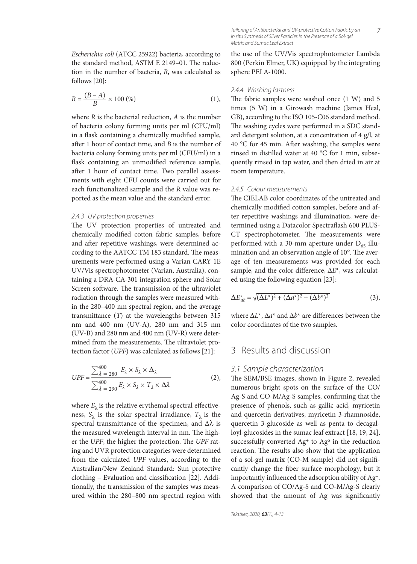$$
R = \frac{(B - A)}{B} \times 100\,(\%)
$$
 (1),

where *R* is the bacterial reduction, *A* is the number of bacteria colony forming units per ml (CFU/ml) in a flask containing a chemically modified sample, after 1 hour of contact time, and *B* is the number of bacteria colony forming units per ml (CFU/ml) in a flask containing an unmodified reference sample, after 1 hour of contact time. Two parallel assessments with eight CFU counts were carried out for each functionalized sample and the *R* value was reported as the mean value and the standard error.

#### 2.4.3 UV protection properties

The UV protection properties of untreated and chemically modified cotton fabric samples, before and after repetitive washings, were determined according to the AATCC TM 183 standard. The measurements were performed using a Varian CARY 1E UV/Vis spectrophotometer (Varian, Australia), containing a DRA-CA-301 integration sphere and Solar Screen software. The transmission of the ultraviolet radiation through the samples were measured within the 280–400 nm spectral region, and the average transmittance (*T*) at the wavelengths between 315 nm and 400 nm (UV-A), 280 nm and 315 nm (UV-B) and 280 nm and 400 nm (UV-R) were determined from the measurements. The ultraviolet protection factor (*UPF*) was calculated as follows [21]:

$$
UPF = \frac{\sum_{\lambda=280}^{400} E_{\lambda} \times S_{\lambda} \times \Delta_{\lambda}}{\sum_{\lambda=290}^{400} E_{\lambda} \times S_{\lambda} \times T_{\lambda} \times \Delta_{\lambda}}
$$
(2),

where  $E_{\lambda}$  is the relative erythemal spectral effectiveness,  $S_\lambda$  is the solar spectral irradiance,  $T_\lambda$  is the spectral transmittance of the specimen, and  $\Delta\lambda$  is the measured wavelength interval in nm. The higher the *UPF*, the higher the protection. The *UPF* rating and UVR protection categories were determined from the calculated *UPF* values, according to the Australian/New Zealand Standard: Sun protective clothing - Evaluation and classification [22]. Additionally, the transmission of the samples was measured within the 280–800 nm spectral region with the use of the UV/Vis spectrophotometer Lambda 800 (Perkin Elmer, UK) equipped by the integrating sphere PELA-1000.

7

#### 2.4.4 Washing fastness

The fabric samples were washed once  $(1 \text{ W})$  and  $5$ times (5 W) in a Girowash machine (James Heal, GB), according to the ISO 105-C06 standard method. The washing cycles were performed in a SDC standard detergent solution, at a concentration of 4 g/l, at 40  $^{\circ}$ C for 45 min. After washing, the samples were rinsed in distilled water at 40 °C for 1 min, subsequently rinsed in tap water, and then dried in air at room temperature.

#### 2.4.5 Colour measurements

The CIELAB color coordinates of the untreated and chemically modified cotton samples, before and after repetitive washings and illumination, were determined using a Datacolor Spectraflash 600 PLUS-CT spectrophotometer. The measurements were performed with a 30-mm aperture under  $D_{65}$  illumination and an observation angle of 10°. The average of ten measurements was provided for each sample, and the color difference,  $ΔE^*$ , was calculated using the following equation [23]:

$$
\Delta E_{ab}^* = \sqrt{(\Delta L^*)^2 + (\Delta a^*)^2 + (\Delta b^*)^2}
$$
 (3),

where  $\Delta L^*$ ,  $\Delta a^*$  and  $\Delta b^*$  are differences between the color coordinates of the two samples.

# 3 Results and discussion

#### 3.1 Sample characterization

The SEM/BSE images, shown in Figure 2, revealed numerous bright spots on the surface of the CO/ Ag-S and CO-M/Ag-S samples, confirming that the presence of phenols, such as gallic acid, myricetin and quercetin derivatives, myricetin 3-rhamnoside, quercetin 3-glucoside as well as penta to decagalloyl-glucosides in the sumac leaf extract [18, 19, 24], successfully converted  $Ag<sup>+</sup>$  to  $Ag<sup>o</sup>$  in the reduction reaction. The results also show that the application of a sol-gel matrix (CO-M sample) did not signifi cantly change the fiber surface morphology, but it importantly influenced the adsorption ability of Ag<sup>+</sup>. A comparison of CO/Ag-S and CO-M/Ag-S clearly showed that the amount of Ag was significantly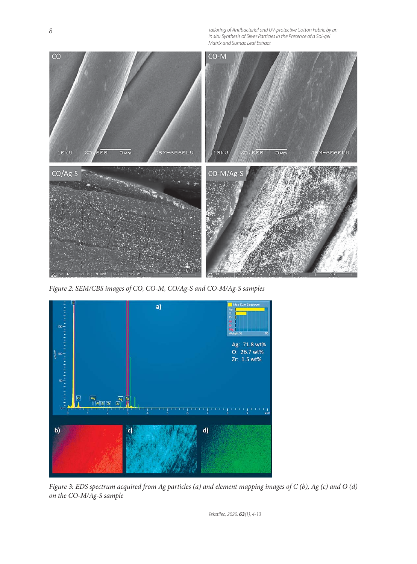Tailoring of Antibacterial and UV-protective Cotton Fabric by an in situ Synthesis of Silver Particles in the Presence of a Sol-gel Matrix and Sumac Leaf Extract



*Figure 2: SEM/CBS images of CO, CO-M, CO/Ag-S and CO-M/Ag-S samples*



*Figure 3: EDS spectrum acquired from Ag particles (a) and element mapping images of C (b), Ag (c) and O (d) on the CO-M/Ag-S sample*

Tekstilec, 2020, *63*(1), 4-13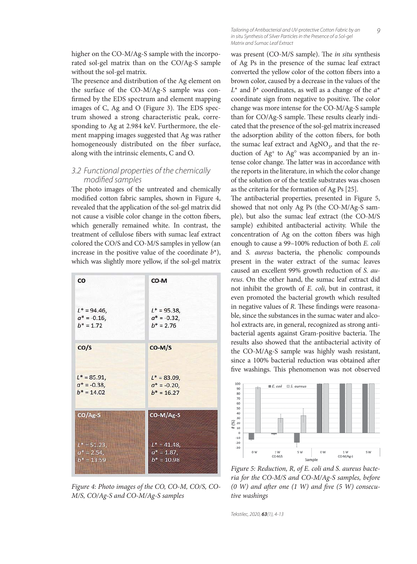higher on the CO-M/Ag-S sample with the incorporated sol-gel matrix than on the CO/Ag-S sample without the sol-gel matrix.

The presence and distribution of the Ag element on the surface of the CO-M/Ag-S sample was confirmed by the EDS spectrum and element mapping images of C, Ag and O (Figure 3). The EDS spectrum showed a strong characteristic peak, corresponding to Ag at 2.984 keV. Furthermore, the element mapping images suggested that Ag was rather homogeneously distributed on the fiber surface, along with the intrinsic elements, C and O.

# 3.2 Functional properties of the chemically modified samples

The photo images of the untreated and chemically modified cotton fabric samples, shown in Figure 4, revealed that the application of the sol-gel matrix did not cause a visible color change in the cotton fibers, which generally remained white. In contrast, the treatment of cellulose fibers with sumac leaf extract colored the CO/S and CO-M/S samples in yellow (an increase in the positive value of the coordinate  $b^*$ ), which was slightly more yellow, if the sol-gel matrix

| CO              | CO-M            |
|-----------------|-----------------|
| $L^* = 94.46$ , | $L^* = 95.38$   |
| $a^* = -0.16$ , | $a^* = -0.32$ , |
| $b* = 1.72$     | $b* = 2.76$     |
| CO/S            | CO-M/S          |
| $L^* = 85.91$   | $L^* = 83.09$ , |
| $a^* = -0.38$ , | $a^* = -0.20$ , |
| $b^* = 14.02$   | $b* = 16.27$    |
| CO/Ag-S         | CO-M/Ag-S       |
| $L^* = 51.23$   | $L^* = 41.48$ , |
| $a^* = 2.54$ ,  | $a^* = 1.87$ ,  |
| $b^* = 13.59$   | $b^* = 10.98$   |

*Figure 4: Photo images of the CO, CO-M, CO/S, CO-M/S, CO/Ag-S and CO-M/Ag-S samples*

Tailoring of Antibacterial and UV-protective Cotton Fabric by an in situ Synthesis of Silver Particles in the Presence of a Sol-gel Matrix and Sumac Leaf Extract

was present (CO-M/S sample). The *in situ* synthesis of Ag Ps in the presence of the sumac leaf extract converted the yellow color of the cotton fibers into a brown color, caused by a decrease in the values of the *L*\* and *b*\* coordinates, as well as a change of the *a*\* coordinate sign from negative to positive. The color change was more intense for the CO-M/Ag-S sample than for CO/Ag-S sample. These results clearly indicated that the presence of the sol-gel matrix increased the adsorption ability of the cotton fibers, for both the sumac leaf extract and  $AgNO<sub>3</sub>$ , and that the reduction of Ag+ to Ag° was accompanied by an intense color change. The latter was in accordance with the reports in the literature, in which the color change of the solution or of the textile substrates was chosen as the criteria for the formation of Ag Ps [25].

The antibacterial properties, presented in Figure 5, showed that not only Ag Ps (the CO-M/Ag-S sample), but also the sumac leaf extract (the CO-M/S sample) exhibited antibacterial activity. While the concentration of Ag on the cotton fibers was high enough to cause a 99–100% reduction of both *E. coli* and *S. aureus* bacteria, the phenolic compounds present in the water extract of the sumac leaves caused an excellent 99% growth reduction of *S. aureus*. On the other hand, the sumac leaf extract did not inhibit the growth of *E. coli*, but in contrast, it even promoted the bacterial growth which resulted in negative values of *R*. These findings were reasonable, since the substances in the sumac water and alcohol extracts are, in general, recognized as strong antibacterial agents against Gram-positive bacteria. The results also showed that the antibacterial activity of the CO-M/Ag-S sample was highly wash resistant, since a 100% bacterial reduction was obtained after five washings. This phenomenon was not observed



*Figure 5: Reduction, R, of E. coli and S. aureus bacteria for the CO-M/S and CO-M/Ag-S samples, before (0 W) and after one (1 W) and five (5 W) consecutive washings*

Tekstilec, 2020, *63*(1), 4-13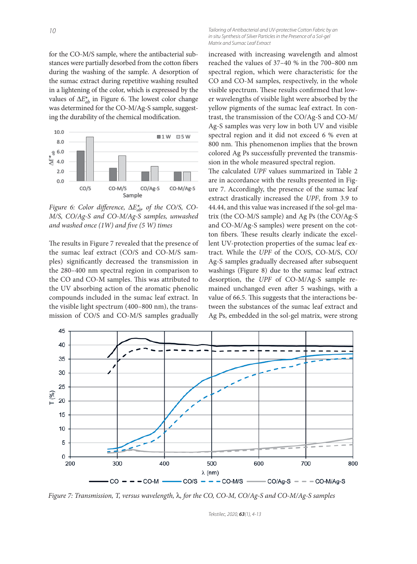for the CO-M/S sample, where the antibacterial substances were partially desorbed from the cotton fibers during the washing of the sample. A desorption of the sumac extract during repetitive washing resulted in a lightening of the color, which is expressed by the values of  $\Delta E_{ab}^*$  in Figure 6. The lowest color change was determined for the CO-M/Ag-S sample, suggesting the durability of the chemical modification.



*Figure 6: Color difference,*  $\Delta E_{ab}^*$  *of the CO/S, CO-M/S, CO/Ag-S and CO-M/Ag-S samples, unwashed and washed once (1W) and five (5 W) times* 

The results in Figure 7 revealed that the presence of the sumac leaf extract (CO/S and CO-M/S samples) significantly decreased the transmission in the 280–400 nm spectral region in comparison to the CO and CO-M samples. This was attributed to the UV absorbing action of the aromatic phenolic compounds included in the sumac leaf extract. In the visible light spectrum (400–800 nm), the transmission of CO/S and CO-M/S samples gradually

Tailoring of Antibacterial and UV-protective Cotton Fabric by an in situ Synthesis of Silver Particles in the Presence of a Sol-gel Matrix and Sumac Leaf Extract

increased with increasing wavelength and almost reached the values of 37–40 % in the 700–800 nm spectral region, which were characteristic for the CO and CO-M samples, respectively, in the whole visible spectrum. These results confirmed that lower wavelengths of visible light were absorbed by the yellow pigments of the sumac leaf extract. In contrast, the transmission of the CO/Ag-S and CO-M/ Ag-S samples was very low in both UV and visible spectral region and it did not exceed 6 % even at 800 nm. This phenomenon implies that the brown colored Ag Ps successfully prevented the transmission in the whole measured spectral region.

The calculated *UPF* values summarized in Table 2 are in accordance with the results presented in Figure 7. Accordingly, the presence of the sumac leaf extract drastically increased the *UPF*, from 3.9 to 44.44, and this value was increased if the sol-gel matrix (the CO-M/S sample) and Ag Ps (the CO/Ag-S and CO-M/Ag-S samples) were present on the cotton fibers. These results clearly indicate the excellent UV-protection properties of the sumac leaf extract. While the *UPF* of the CO/S, CO-M/S, CO/ Ag-S samples gradually decreased after subsequent washings (Figure 8) due to the sumac leaf extract desorption, the *UPF* of CO-M/Ag-S sample remained unchanged even after 5 washings, with a value of 66.5. This suggests that the interactions between the substances of the sumac leaf extract and Ag Ps, embedded in the sol-gel matrix, were strong



*Figure 7: Transmission, T, versus wavelength,* λ*, for the CO, CO-M, CO/Ag-S and CO-M/Ag-S samples*

Tekstilec, 2020, *63*(1), 4-13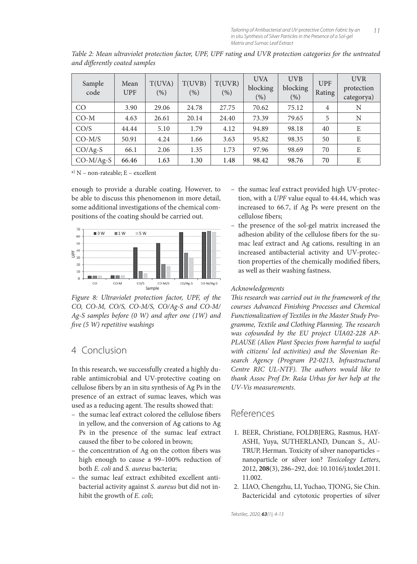| Sample<br>code | Mean<br><b>UPF</b> | T(UVA)<br>(%) | T(UVB)<br>(% ) | T(UVR)<br>(% ) | <b>UVA</b><br>blocking<br>(%) | <b>UVB</b><br>blocking<br>(% ) | <b>UPF</b><br>Rating | <b>UVR</b><br>protection<br>categorya) |
|----------------|--------------------|---------------|----------------|----------------|-------------------------------|--------------------------------|----------------------|----------------------------------------|
| CO             | 3.90               | 29.06         | 24.78          | 27.75          | 70.62                         | 75.12                          | $\overline{4}$       | N                                      |
| $CO-M$         | 4.63               | 26.61         | 20.14          | 24.40          | 73.39                         | 79.65                          | 5                    | N                                      |
| CO/S           | 44.44              | 5.10          | 1.79           | 4.12           | 94.89                         | 98.18                          | 40                   | E                                      |
| $CO-M/S$       | 50.91              | 4.24          | 1.66           | 3.63           | 95.82                         | 98.35                          | 50                   | E                                      |
| $CO/Ag-S$      | 66.1               | 2.06          | 1.35           | 1.73           | 97.96                         | 98.69                          | 70                   | E                                      |
| $CO-M/Ag-S$    | 66.46              | 1.63          | 1.30           | 1.48           | 98.42                         | 98.76                          | 70                   | E                                      |

*Table 2: Mean ultraviolet protection factor, UPF, UPF rating and UVR protection categories for the untreated and diff erently coated samples*

a) N – non-rateable; E – excellent

enough to provide a durable coating. However, to be able to discuss this phenomenon in more detail, some additional investigations of the chemical compositions of the coating should be carried out.



*Figure 8: Ultraviolet protection factor, UPF, of the CO, CO-M, CO/S, CO-M/S, CO/Ag-S and CO-M/* Ag-S samples before (0 W) and after one (1W) and *fi ve (5 W) repetitive washings*

# 4 Conclusion

In this research, we successfully created a highly durable antimicrobial and UV-protective coating on cellulose fibers by an in situ synthesis of Ag Ps in the presence of an extract of sumac leaves, which was used as a reducing agent. The results showed that:

- the sumac leaf extract colored the cellulose fibers in yellow, and the conversion of Ag cations to Ag Ps in the presence of the sumac leaf extract caused the fiber to be colored in brown;
- $-$  the concentration of Ag on the cotton fibers was high enough to cause a 99–100% reduction of both *E. coli* and *S. aureus* bacteria;
- the sumac leaf extract exhibited excellent antibacterial activity against *S. aureus* but did not inhibit the growth of *E. coli*;
- the sumac leaf extract provided high UV-protection, with a *UPF* value equal to 44.44, which was increased to 66.7, if Ag Ps were present on the cellulose fibers;
- the presence of the sol-gel matrix increased the adhesion ability of the cellulose fibers for the sumac leaf extract and Ag cations, resulting in an increased antibacterial activity and UV-protection properties of the chemically modified fibers, as well as their washing fastness.

## *Acknowledgements*

This research was carried out in the framework of the *courses Advanced Finishing Processes and Chemical Functionalization of Textiles in the Master Study Pro*gramme, Textile and Clothing Planning. The research *was cofounded by the EU project UIA02-228 AP-PLAUSE (Alien Plant Species from harmful to useful with citizens' led activities) and the Slovenian Research Agency (Program P2-0213, Infrastructural*  Centre RIC UL-NTF). The authors would like to *thank Assoc Prof Dr. Raša Urbas for her help at the UV-Vis measurements*.

# References

- 1. BEER, Christiane, FOLDBJERG, Rasmus, HAY-ASHI, Yuya, SUTHERLAND, Duncan S., AU-TRUP, Herman. Toxicity of silver nanoparticles – nanoparticle or silver ion? *Toxicology Letters*, 2012, **208**(3), 286–292, doi: 10.1016/j.toxlet.2011. 11.002.
- 2. LIAO, Chengzhu, LI, Yuchao, TJONG, Sie Chin. Bactericidal and cytotoxic properties of silver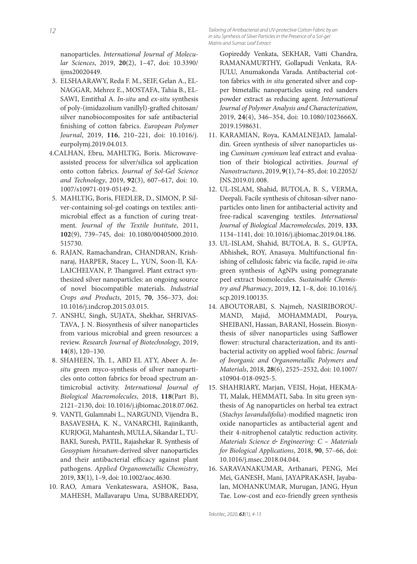Tailoring of Antibacterial and UV-protective Cotton Fabric by an in situ Synthesis of Silver Particles in the Presence of a Sol-gel Matrix and Sumac Leaf Extract

nanoparticles. *International Journal of Molecular Sciences*, 2019, **20**(2), 1–47, doi: 10.3390/ ijms20020449.

- 3. ELSHAARAWY, Reda F. M., SEIF, Gelan A., EL-NAGGAR, Mehrez E., MOSTAFA, Tahia B., EL-SAWI, Emtithal A. *In-situ* and *ex-situ* synthesis of poly-(imidazolium vanillyl)-grafted chitosan/ silver nanobiocomposites for safe antibacterial finishing of cotton fabrics. *European Polymer Journal*, 2019, **116**, 210–221, doi: 10.1016/j. eurpolymj.2019.04.013.
- 4. CALHAN, Ebru, MAHLTIG, Boris. Microwaveassisted process for silver/silica sol application onto cotton fabrics. *Journal of Sol-Gel Science and Technology*, 2019, **92**(3), 607–617, doi: 10. 1007/s10971-019-05149-2.
- 5. MAHLTIG, Boris, FIEDLER, D., SIMON, P. Silver-containing sol-gel coatings on textiles: antimicrobial effect as a function of curing treatment. *Journal of the Textile Institute*, 2011, **102**(9), 739–745, doi: 10.1080/00405000.2010. 515730.
- 6. RAJAN, Ramachandran, CHANDRAN, Krishnaraj, HARPER, Stacey L., YUN, Soon-Il, KA-LAICHELVAN, P. Thangavel. Plant extract synthesized silver nanoparticles: an ongoing source of novel biocompatible materials. *Industrial Crops and Products*, 2015, **70**, 356–373, doi: 10.1016/j.indcrop.2015.03.015.
- 7. ANSHU, Singh, SUJATA, Shekhar, SHRIVAS-TAVA, J. N. Biosynthesis of silver nanoparticles from various microbial and green resources: a review. *Research Journal of Biotechnology*, 2019, **14**(8), 120–130.
- 8. SHAHEEN, Th. I., ABD EL ATY, Abeer A. *Insitu* green myco-synthesis of silver nanoparticles onto cotton fabrics for broad spectrum antimicrobial activity. *International Journal of Biological Macromolecules*, 2018, **118**(Part B), 2121–2130, doi: 10.1016/j.ijbiomac.2018.07.062.
- 9. VANTI, Gulamnabi L., NARGUND, Vijendra B., BASAVESHA, K. N., VANARCHI, Rajinikanth, KURJOGI, Mahantesh, MULLA, Sikandar I., TU-BAKI, Suresh, PATIL, Rajashekar R. Synthesis of *Gossypium hirsutum*-derived silver nanoparticles and their antibacterial efficacy against plant pathogens. *Applied Organometallic Chemistry*, 2019, **33**(1), 1–9, doi: 10.1002/aoc.4630.
- 10. RAO, Amara Venkateswara, ASHOK, Basa, MAHESH, Mallavarapu Uma, SUBBAREDDY,

Gopireddy Venkata, SEKHAR, Vatti Chandra, RAMANAMURTHY, Gollapudi Venkata, RA-JULU, Anumakonda Varada. Antibacterial cotton fabrics with *in situ* generated silver and copper bimetallic nanoparticles using red sanders powder extract as reducing agent. *International Journal of Polymer Analysis and Characterization*, 2019, **24**(4), 346–354, doi: 10.1080/1023666X. 2019.1598631.

- 11. KARAMIAN, Roya, KAMALNEJAD, Jamalaldin. Green synthesis of silver nanoparticles using *Cuminum cyminum* leaf extract and evaluation of their biological activities. *Journal of Nanostructures*, 2019, **9**(1), 74–85, doi: 10.22052/ JNS.2019.01.008.
- 12. UL-ISLAM, Shahid, BUTOLA, B. S., VERMA, Deepali. Facile synthesis of chitosan-silver nanoparticles onto linen for antibacterial activity and free-radical scavenging textiles. *International Journal of Biological Macromolecules*, 2019, **133**, 1134–1141, doi: 10.1016/j.ijbiomac.2019.04.186.
- 13. UL-ISLAM, Shahid, BUTOLA, B. S., GUPTA, Abhishek, ROY, Anasuya. Multifunctional finishing of cellulosic fabric via facile, rapid *in-situ* green synthesis of AgNPs using pomegranate peel extract biomolecules. *Sustainable Chemistry and Pharmacy*, 2019, **12**, 1–8, doi: 10.1016/j. scp.2019.100135.
- 14. ABOUTORABI, S. Najmeh, NASIRIBOROU-MAND, Majid, MOHAMMADI, Pourya, SHEIBANI, Hassan, BARANI, Hossein. Biosynthesis of silver nanoparticles using Safflower flower: structural characterization, and its antibacterial activity on applied wool fabric. *Journal of Inorganic and Organometallic Polymers and Materials*, 2018, **28**(6), 2525–2532, doi: 10.1007/ s10904-018-0925-5.
- 15. SHAHRIARY, Marjan, VEISI, Hojat, HEKMA-TI, Malak, HEMMATI, Saba. In situ green synthesis of Ag nanoparticles on herbal tea extract (*Stachys lavandulifolia*)-modified magnetic iron oxide nanoparticles as antibacterial agent and their 4-nitrophenol catalytic reduction activity. *Materials Science & Engineering: C* – *Materials for Biological Applications*, 2018, **90**, 57–66, doi: 10.1016/j.msec.2018.04.044.
- 16. SARAVANAKUMAR, Arthanari, PENG, Mei Mei, GANESH, Mani, JAYAPRAKASH, Jayabalan, MOHANKUMAR, Murugan, JANG, Hyun Tae. Low-cost and eco-friendly green synthesis